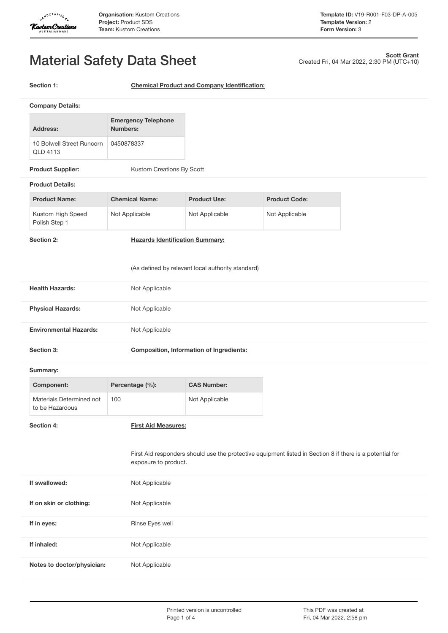

Created Fri, 04 Mar 2022, 2:30 PM (UTC+10)

**Scott Grant**

# Material Safety Data Sheet

**Section 1: Chemical Product and Company Identification:**

|                                                   | <b>Company Details:</b>                     |                                        |                                                                                                          |                      |  |
|---------------------------------------------------|---------------------------------------------|----------------------------------------|----------------------------------------------------------------------------------------------------------|----------------------|--|
|                                                   |                                             | <b>Emergency Telephone</b>             |                                                                                                          |                      |  |
|                                                   | <b>Address:</b>                             | <b>Numbers:</b>                        |                                                                                                          |                      |  |
|                                                   | 10 Bolwell Street Runcorn<br>QLD 4113       | 0450878337                             |                                                                                                          |                      |  |
|                                                   | <b>Product Supplier:</b>                    | Kustom Creations By Scott              |                                                                                                          |                      |  |
|                                                   | <b>Product Details:</b>                     |                                        |                                                                                                          |                      |  |
|                                                   | <b>Product Name:</b>                        | <b>Chemical Name:</b>                  | <b>Product Use:</b>                                                                                      | <b>Product Code:</b> |  |
|                                                   | Kustom High Speed<br>Polish Step 1          | Not Applicable                         | Not Applicable                                                                                           | Not Applicable       |  |
|                                                   | Section 2:                                  | <b>Hazards Identification Summary:</b> |                                                                                                          |                      |  |
| (As defined by relevant local authority standard) |                                             |                                        |                                                                                                          |                      |  |
|                                                   | <b>Health Hazards:</b>                      | Not Applicable                         |                                                                                                          |                      |  |
|                                                   | <b>Physical Hazards:</b>                    | Not Applicable                         |                                                                                                          |                      |  |
|                                                   | <b>Environmental Hazards:</b>               | Not Applicable                         |                                                                                                          |                      |  |
|                                                   | Section 3:                                  |                                        | <b>Composition, Information of Ingredients:</b>                                                          |                      |  |
|                                                   | Summary:                                    |                                        |                                                                                                          |                      |  |
|                                                   | <b>Component:</b>                           | Percentage (%):                        | <b>CAS Number:</b>                                                                                       |                      |  |
|                                                   | Materials Determined not<br>to be Hazardous | 100                                    | Not Applicable                                                                                           |                      |  |
|                                                   | Section 4:                                  | <b>First Aid Measures:</b>             |                                                                                                          |                      |  |
|                                                   |                                             |                                        |                                                                                                          |                      |  |
|                                                   |                                             | exposure to product.                   | First Aid responders should use the protective equipment listed in Section 8 if there is a potential for |                      |  |
|                                                   | If swallowed:                               | Not Applicable                         |                                                                                                          |                      |  |
|                                                   | If on skin or clothing:                     | Not Applicable                         |                                                                                                          |                      |  |
|                                                   | If in eyes:                                 | Rinse Eyes well                        |                                                                                                          |                      |  |
|                                                   | If inhaled:                                 | Not Applicable                         |                                                                                                          |                      |  |
|                                                   | Notes to doctor/physician:                  | Not Applicable                         |                                                                                                          |                      |  |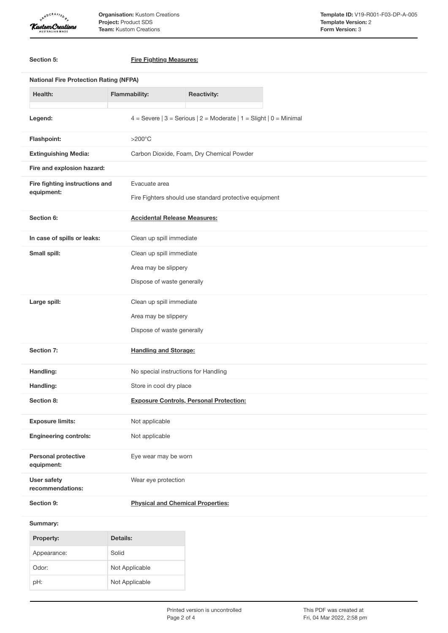

**Organisation:** Kustom Creations **Project:** Product SDS **Team:** Kustom Creations

|                            | Section 5:                                    | <b>Fire Fighting Measures:</b>                                         |  |  |
|----------------------------|-----------------------------------------------|------------------------------------------------------------------------|--|--|
|                            | <b>National Fire Protection Rating (NFPA)</b> |                                                                        |  |  |
|                            | Health:                                       | <b>Flammability:</b><br><b>Reactivity:</b>                             |  |  |
|                            | Legend:                                       | 4 = Severe $ 3$ = Serious $ 2$ = Moderate $ 1$ = Slight $ 0$ = Minimal |  |  |
|                            | Flashpoint:                                   | $>200^{\circ}$ C                                                       |  |  |
|                            | <b>Extinguishing Media:</b>                   | Carbon Dioxide, Foam, Dry Chemical Powder                              |  |  |
| Fire and explosion hazard: |                                               |                                                                        |  |  |
|                            | Fire fighting instructions and                | Evacuate area                                                          |  |  |
|                            | equipment:                                    | Fire Fighters should use standard protective equipment                 |  |  |
|                            | Section 6:                                    | <b>Accidental Release Measures:</b>                                    |  |  |
|                            | In case of spills or leaks:                   | Clean up spill immediate                                               |  |  |
|                            | Small spill:                                  | Clean up spill immediate                                               |  |  |
|                            |                                               | Area may be slippery                                                   |  |  |
|                            |                                               | Dispose of waste generally                                             |  |  |
|                            | Large spill:                                  | Clean up spill immediate                                               |  |  |
|                            |                                               | Area may be slippery                                                   |  |  |
|                            |                                               | Dispose of waste generally                                             |  |  |
|                            | Section 7:                                    | <b>Handling and Storage:</b>                                           |  |  |
|                            | Handling:                                     | No special instructions for Handling                                   |  |  |
|                            | Handling:                                     | Store in cool dry place                                                |  |  |
|                            | Section 8:                                    | <b>Exposure Controls, Personal Protection:</b>                         |  |  |
|                            | <b>Exposure limits:</b>                       | Not applicable                                                         |  |  |
|                            | <b>Engineering controls:</b>                  | Not applicable                                                         |  |  |
|                            | Personal protective<br>equipment:             | Eye wear may be worn                                                   |  |  |
|                            | <b>User safety</b><br>recommendations:        | Wear eye protection                                                    |  |  |
|                            | Section 9:                                    | <b>Physical and Chemical Properties:</b>                               |  |  |
|                            | Summary:                                      |                                                                        |  |  |
|                            | Property:                                     | Details:                                                               |  |  |
|                            | Appearance:                                   | Solid                                                                  |  |  |
|                            | Odor:                                         | Not Applicable                                                         |  |  |

pH: Not Applicable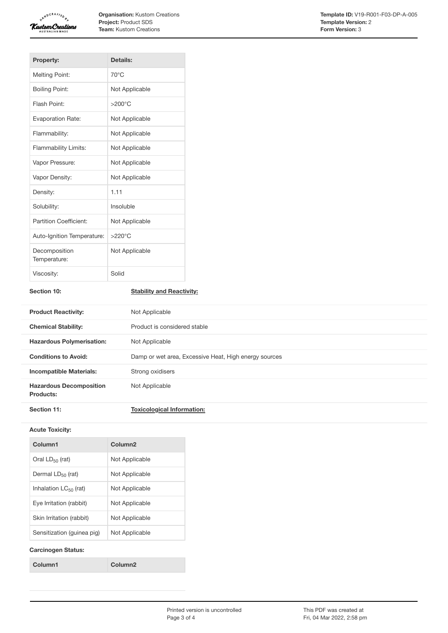

**Organisation:** Kustom Creations **Project:** Product SDS **Team:** Kustom Creations

| <b>Property:</b>              | Details:         |
|-------------------------------|------------------|
| <b>Melting Point:</b>         | $70^{\circ}$ C   |
| <b>Boiling Point:</b>         | Not Applicable   |
| Flash Point:                  | $>200^{\circ}$ C |
| <b>Evaporation Rate:</b>      | Not Applicable   |
| Flammability:                 | Not Applicable   |
| <b>Flammability Limits:</b>   | Not Applicable   |
| Vapor Pressure:               | Not Applicable   |
| Vapor Density:                | Not Applicable   |
| Density:                      | 1.11             |
| Solubility:                   | Insoluble        |
| Partition Coefficient:        | Not Applicable   |
| Auto-Ignition Temperature:    | $>220^{\circ}$ C |
| Decomposition<br>Temperature: | Not Applicable   |
| Viscosity:                    | Solid            |

# **Section 10: Stability and Reactivity:**

| <b>Product Reactivity:</b>                  | Not Applicable                                        |
|---------------------------------------------|-------------------------------------------------------|
| <b>Chemical Stability:</b>                  | Product is considered stable                          |
| <b>Hazardous Polymerisation:</b>            | Not Applicable                                        |
| <b>Conditions to Avoid:</b>                 | Damp or wet area, Excessive Heat, High energy sources |
| <b>Incompatible Materials:</b>              | Strong oxidisers                                      |
| <b>Hazardous Decomposition</b><br>Products: | Not Applicable                                        |
| Section 11:                                 | <b>Toxicological Information:</b>                     |

#### **Acute Toxicity:**

| Column1                    | Column <sub>2</sub> |
|----------------------------|---------------------|
| Oral $LD_{50}$ (rat)       | Not Applicable      |
| Dermal $LD_{50}$ (rat)     | Not Applicable      |
| Inhalation $LC_{50}$ (rat) | Not Applicable      |
| Eve Irritation (rabbit)    | Not Applicable      |
| Skin Irritation (rabbit)   | Not Applicable      |
| Sensitization (quinea pig) | Not Applicable      |
|                            |                     |

### **Carcinogen Status:**